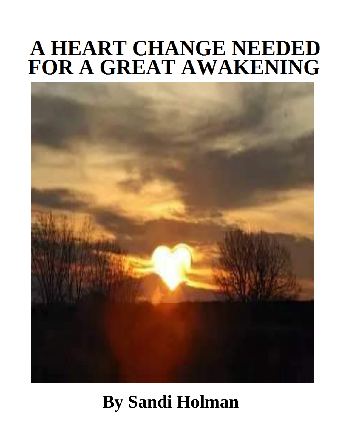## **A HEART CHANGE NEEDED FOR A GREAT AWAKENING**



## **By Sandi Holman**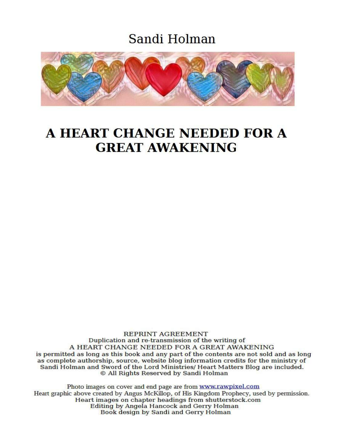### Sandi Holman



### A HEART CHANGE NEEDED FOR A **GREAT AWAKENING**

REPRINT AGREEMENT Duplication and re-transmission of the writing of A HEART CHANGE NEEDED FOR A GREAT AWAKENING is permitted as long as this book and any part of the contents are not sold and as long as complete authorship, source, website blog information credits for the ministry of Sandi Holman and Sword of the Lord Ministries/Heart Matters Blog are included. © All Rights Reserved by Sandi Holman

Photo images on cover and end page are from www.rawpixel.com Heart graphic above created by Angus McKillop, of His Kingdom Prophecy, used by permission. Heart images on chapter headings from shutterstock.com Editing by Angela Hancock and Gerry Holman Book design by Sandi and Gerry Holman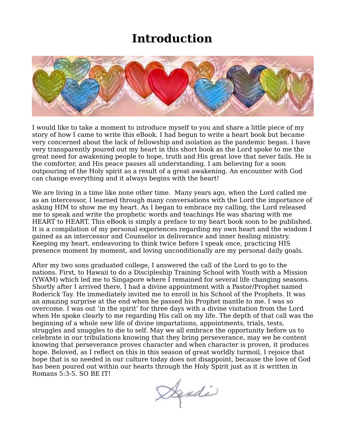### **Introduction**



I would like to take a moment to introduce myself to you and share a little piece of my story of how I came to write this eBook. I had begun to write a heart book but became very concerned about the lack of fellowship and isolation as the pandemic began. I have very transparently poured out my heart in this short book as the Lord spoke to me the great need for awakening people to hope, truth and His great love that never fails. He is the comforter, and His peace passes all understanding. I am believing for a soon outpouring of the Holy spirit as a result of a great awakening. An encounter with God can change everything and it always begins with the heart!

We are living in a time like none other time. Many years ago, when the Lord called me as an intercessor, I learned through many conversations with the Lord the importance of asking HIM to show me my heart. As I began to embrace my calling, the Lord released me to speak and write the prophetic words and teachings He was sharing with me HEART to HEART. This eBook is simply a preface to my heart book soon to be published. It is a compilation of my personal experiences regarding my own heart and the wisdom I gained as an intercessor and Counselor in deliverance and inner healing ministry. Keeping my heart, endeavoring to think twice before I speak once, practicing HIS presence moment by moment, and loving unconditionally are my personal daily goals.

After my two sons graduated college, I answered the call of the Lord to go to the nations. First, to Hawaii to do a Discipleship Training School with Youth with a Mission (YWAM) which led me to Singapore where I remained for several life changing seasons. Shortly after I arrived there, I had a divine appointment with a Pastor/Prophet named Roderick Tay. He immediately invited me to enroll in his School of the Prophets. It was an amazing surprise at the end when he passed his Prophet mantle to me. I was so overcome. I was out 'in the spirit' for three days with a divine visitation from the Lord when He spoke clearly to me regarding His call on my life. The depth of that call was the beginning of a whole new life of divine impartations, appointments, trials, tests, struggles and snuggles to die to self. May we all embrace the opportunity before us to celebrate in our tribulations knowing that they bring perseverance, may we be content knowing that perseverance proves character and when character is proven, it produces hope. Beloved, as I reflect on this in this season of great worldly turmoil, I rejoice that hope that is so needed in our culture today does not disappoint, because the love of God has been poured out within our hearts through the Holy Spirit just as it is written in Romans 5:3-5. SO BE IT!

Dandi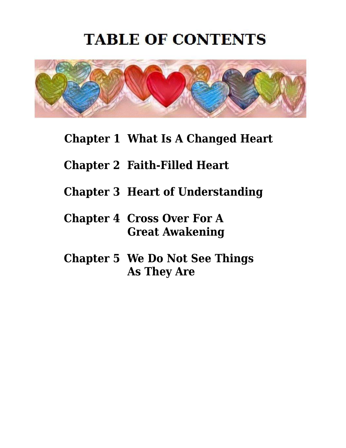### **TABLE OF CONTENTS**



- **Chapter 1 What Is A Changed Heart**
- **Chapter 2 Faith-Filled Heart**
- **Chapter 3 Heart of Understanding**
- **Chapter 4 Cross Over For A Great Awakening**
- **Chapter 5 We Do Not See Things As They Are**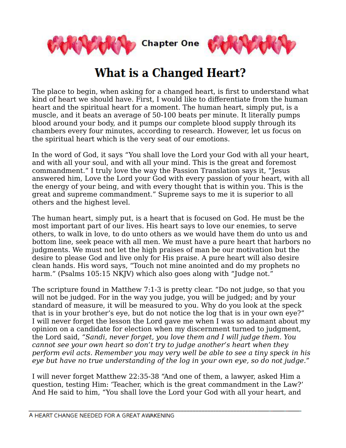

### **What is a Changed Heart?**

The place to begin, when asking for a changed heart, is first to understand what kind of heart we should have. First, I would like to differentiate from the human heart and the spiritual heart for a moment. The human heart, simply put, is a muscle, and it beats an average of 50-100 beats per minute. It literally pumps blood around your body, and it pumps our complete blood supply through its chambers every four minutes, according to research. However, let us focus on the spiritual heart which is the very seat of our emotions.

In the word of God, it says "You shall love the Lord your God with all your heart, and with all your soul, and with all your mind. This is the great and foremost commandment." I truly love the way the Passion Translation says it, "Jesus answered him, Love the Lord your God with every passion of your heart, with all the energy of your being, and with every thought that is within you. This is the great and supreme commandment." Supreme says to me it is superior to all others and the highest level.

The human heart, simply put, is a heart that is focused on God. He must be the most important part of our lives. His heart says to love our enemies, to serve others, to walk in love, to do unto others as we would have them do unto us and bottom line, seek peace with all men. We must have a pure heart that harbors no judgments. We must not let the high praises of man be our motivation but the desire to please God and live only for His praise. A pure heart will also desire clean hands. His word says, "Touch not mine anointed and do my prophets no harm." (Psalms 105:15 NKJV) which also goes along with "Judge not."

The scripture found in Matthew 7:1-3 is pretty clear. "Do not judge, so that you will not be judged. For in the way you judge, you will be judged; and by your standard of measure, it will be measured to you. Why do you look at the speck that is in your brother's eye, but do not notice the log that is in your own eye?" I will never forget the lesson the Lord gave me when I was so adamant about my opinion on a candidate for election when my discernment turned to judgment, the Lord said, *"Sandi, never forget, you love them and I will judge them. You cannot see your own heart so don't try to judge another's heart when they perform evil acts. Remember you may very well be able to see a tiny speck in his eye but have no true understanding of the log in your own eye, so do not judge."*

I will never forget Matthew 22:35-38 "And one of them, a lawyer, asked Him a question, testing Him: 'Teacher, which is the great commandment in the Law?' And He said to him, "You shall love the Lord your God with all your heart, and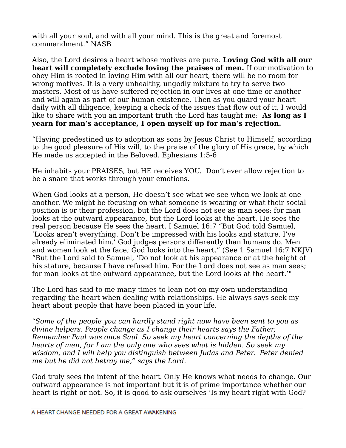with all your soul, and with all your mind. This is the great and foremost commandment." NASB

Also, the Lord desires a heart whose motives are pure. **Loving God with all our heart will completely exclude loving the praises of men.** If our motivation to obey Him is rooted in loving Him with all our heart, there will be no room for wrong motives. It is a very unhealthy, ungodly mixture to try to serve two masters. Most of us have suffered rejection in our lives at one time or another and will again as part of our human existence. Then as you guard your heart daily with all diligence, keeping a check of the issues that flow out of it, I would like to share with you an important truth the Lord has taught me: **As long as I yearn for man's acceptance, I open myself up for man's rejection.** 

"Having predestined us to adoption as sons by Jesus Christ to Himself, according to the good pleasure of His will, to the praise of the glory of His grace, by which He made us accepted in the Beloved. Ephesians 1:5-6

He inhabits your PRAISES, but HE receives YOU. Don't ever allow rejection to be a snare that works through your emotions.

When God looks at a person, He doesn't see what we see when we look at one another. We might be focusing on what someone is wearing or what their social position is or their profession, but the Lord does not see as man sees: for man looks at the outward appearance, but the Lord looks at the heart. He sees the real person because He sees the heart. I Samuel 16:7 "But God told Samuel, 'Looks aren't everything. Don't be impressed with his looks and stature. I've already eliminated him.' God judges persons differently than humans do. Men and women look at the face; God looks into the heart." (See 1 Samuel 16:7 NKJV) "But the Lord said to Samuel, 'Do not look at his appearance or at the height of his stature, because I have refused him. For the Lord does not see as man sees; for man looks at the outward appearance, but the Lord looks at the heart.'"

The Lord has said to me many times to lean not on my own understanding regarding the heart when dealing with relationships. He always says seek my heart about people that have been placed in your life.

*"Some of the people you can hardly stand right now have been sent to you as divine helpers. People change as I change their hearts says the Father, Remember Paul was once Saul. So seek my heart concerning the depths of the hearts of men, for I am the only one who sees what is hidden. So seek my wisdom, and I will help you distinguish between Judas and Peter. Peter denied me but he did not betray me," says the Lord.*

God truly sees the intent of the heart. Only He knows what needs to change. Our outward appearance is not important but it is of prime importance whether our heart is right or not. So, it is good to ask ourselves 'Is my heart right with God?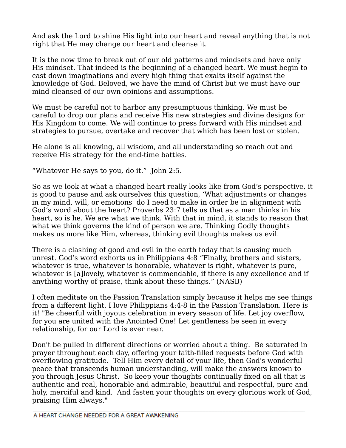And ask the Lord to shine His light into our heart and reveal anything that is not right that He may change our heart and cleanse it.

It is the now time to break out of our old patterns and mindsets and have only His mindset. That indeed is the beginning of a changed heart. We must begin to cast down imaginations and every high thing that exalts itself against the knowledge of God. Beloved, we have the mind of Christ but we must have our mind cleansed of our own opinions and assumptions.

We must be careful not to harbor any presumptuous thinking. We must be careful to drop our plans and receive His new strategies and divine designs for His Kingdom to come. We will continue to press forward with His mindset and strategies to pursue, overtake and recover that which has been lost or stolen.

He alone is all knowing, all wisdom, and all understanding so reach out and receive His strategy for the end-time battles.

"Whatever He says to you, do it." John 2:5.

So as we look at what a changed heart really looks like from God's perspective, it is good to pause and ask ourselves this question, 'What adjustments or changes in my mind, will, or emotions do I need to make in order be in alignment with God's word about the heart? Proverbs 23:7 tells us that as a man thinks in his heart, so is he. We are what we think. With that in mind, it stands to reason that what we think governs the kind of person we are. Thinking Godly thoughts makes us more like Him, whereas, thinking evil thoughts makes us evil.

There is a clashing of good and evil in the earth today that is causing much unrest. God's word exhorts us in Philippians 4:8 "Finally, brothers and sisters, whatever is true, whatever is honorable, whatever is right, whatever is pure, whatever is [a]lovely, whatever is commendable, if there is any excellence and if anything worthy of praise, think about these things." (NASB)

I often meditate on the Passion Translation simply because it helps me see things from a different light. I love Philippians 4:4-8 in the Passion Translation. Here is it! "Be cheerful with joyous celebration in every season of life. Let joy overflow, for you are united with the Anointed One! Let gentleness be seen in every relationship, for our Lord is ever near.

Don't be pulled in different directions or worried about a thing. Be saturated in prayer throughout each day, offering your faith-filled requests before God with overflowing gratitude. Tell Him every detail of your life, then God's wonderful peace that transcends human understanding, will make the answers known to you through Jesus Christ. So keep your thoughts continually fixed on all that is authentic and real, honorable and admirable, beautiful and respectful, pure and holy, merciful and kind. And fasten your thoughts on every glorious work of God, praising Him always."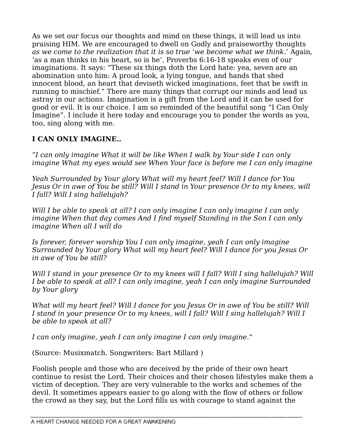As we set our focus our thoughts and mind on these things, it will lead us into praising HIM. We are encouraged to dwell on Godly and praiseworthy thoughts *as we come to the realization that it is so true 'we become what we think.'* Again, 'as a man thinks in his heart, so is he'. Proverbs 6:16-18 speaks even of our imaginations. It says: "These six things doth the Lord hate: yea, seven are an abomination unto him: A proud look, a lying tongue, and hands that shed innocent blood, an heart that deviseth wicked imaginations, feet that be swift in running to mischief." There are many things that corrupt our minds and lead us astray in our actions. Imagination is a gift from the Lord and it can be used for good or evil. It is our choice. I am so reminded of the beautiful song "I Can Only Imagine". I include it here today and encourage you to ponder the words as you, too, sing along with me.

### **I CAN ONLY IMAGINE..**

*"I can only imagine What it will be like When I walk by Your side I can only imagine What my eyes would see When Your face is before me I can only imagine*

*Yeah Surrounded by Your glory What will my heart feel? Will I dance for You Jesus Or in awe of You be still? Will I stand in Your presence Or to my knees, will I fall? Will I sing hallelujah?*

*Will I be able to speak at all? I can only imagine I can only imagine I can only imagine When that day comes And I find myself Standing in the Son I can only imagine When all I will do*

*Is forever, forever worship You I can only imagine, yeah I can only imagine Surrounded by Your glory What will my heart feel? Will I dance for you Jesus Or in awe of You be still?*

*Will I stand in your presence Or to my knees will I fall? Will I sing hallelujah? Will I be able to speak at all? I can only imagine, yeah I can only imagine Surrounded by Your glory*

*What will my heart feel? Will I dance for you Jesus Or in awe of You be still? Will I stand in your presence Or to my knees, will I fall? Will I sing hallelujah? Will I be able to speak at all?*

*I can only imagine, yeah I can only imagine I can only imagine."*

(Source: Musixmatch. Songwriters: Bart Millard )

Foolish people and those who are deceived by the pride of their own heart continue to resist the Lord. Their choices and their chosen lifestyles make them a victim of deception. They are very vulnerable to the works and schemes of the devil. It sometimes appears easier to go along with the flow of others or follow the crowd as they say, but the Lord fills us with courage to stand against the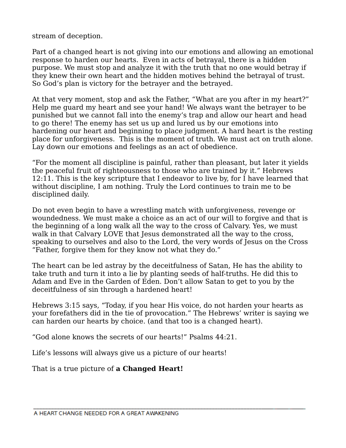stream of deception.

Part of a changed heart is not giving into our emotions and allowing an emotional response to harden our hearts. Even in acts of betrayal, there is a hidden purpose. We must stop and analyze it with the truth that no one would betray if they knew their own heart and the hidden motives behind the betrayal of trust. So God's plan is victory for the betrayer and the betrayed.

At that very moment, stop and ask the Father, "What are you after in my heart?" Help me guard my heart and see your hand! We always want the betrayer to be punished but we cannot fall into the enemy's trap and allow our heart and head to go there! The enemy has set us up and lured us by our emotions into hardening our heart and beginning to place judgment. A hard heart is the resting place for unforgiveness. This is the moment of truth. We must act on truth alone. Lay down our emotions and feelings as an act of obedience.

"For the moment all discipline is painful, rather than pleasant, but later it yields the peaceful fruit of righteousness to those who are trained by it." Hebrews 12:11. This is the key scripture that I endeavor to live by, for I have learned that without discipline, I am nothing. Truly the Lord continues to train me to be disciplined daily.

Do not even begin to have a wrestling match with unforgiveness, revenge or woundedness. We must make a choice as an act of our will to forgive and that is the beginning of a long walk all the way to the cross of Calvary. Yes, we must walk in that Calvary LOVE that Jesus demonstrated all the way to the cross, speaking to ourselves and also to the Lord, the very words of Jesus on the Cross "Father, forgive them for they know not what they do."

The heart can be led astray by the deceitfulness of Satan, He has the ability to take truth and turn it into a lie by planting seeds of half-truths. He did this to Adam and Eve in the Garden of Eden. Don't allow Satan to get to you by the deceitfulness of sin through a hardened heart!

Hebrews 3:15 says, "Today, if you hear His voice, do not harden your hearts as your forefathers did in the tie of provocation." The Hebrews' writer is saying we can harden our hearts by choice. (and that too is a changed heart).

"God alone knows the secrets of our hearts!" Psalms 44:21.

Life's lessons will always give us a picture of our hearts!

That is a true picture of **a Changed Heart!**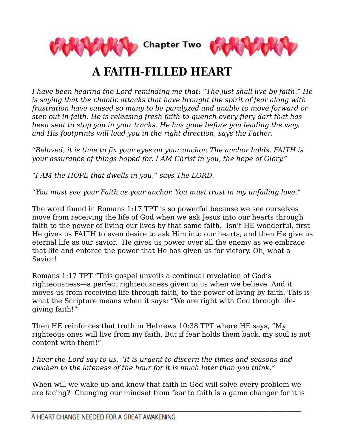

### **A FAITH-FILLED HEART**

*I have been hearing the Lord reminding me that: "The just shall live by faith." He is saying that the chaotic attacks that have brought the spirit of fear along with frustration have caused so many to be paralyzed and unable to move forward or step out in faith. He is releasing fresh faith to quench every fiery dart that has been sent to stop you in your tracks. He has gone before you leading the way, and His footprints will lead you in the right direction, says the Father.*

*"Beloved, it is time to fix your eyes on your anchor. The anchor holds. FAITH is your assurance of things hoped for. I AM Christ in you, the hope of Glory."* 

*"I AM the HOPE that dwells in you," says The LORD.*

*"You must see your Faith as your anchor. You must trust in my unfailing love."*

The word found in Romans 1:17 TPT is so powerful because we see ourselves move from receiving the life of God when we ask Jesus into our hearts through faith to the power of living our lives by that same faith. Isn't HE wonderful, first He gives us FAITH to even desire to ask Him into our hearts, and then He give us eternal life as our savior. He gives us power over all the enemy as we embrace that life and enforce the power that He has given us for victory. Oh, what a Savior!

Romans 1:17 TPT "This gospel unveils a continual revelation of God's righteousness—a perfect righteousness given to us when we believe. And it moves us from receiving life through faith, to the power of living by faith. This is what the Scripture means when it says: "We are right with God through lifegiving faith!"

Then HE reinforces that truth in Hebrews 10:38 TPT where HE says, "My righteous ones will live from my faith. But if fear holds them back, my soul is not content with them!"

*I hear the Lord say to us, "It is urgent to discern the times and seasons and awaken to the lateness of the hour for it is much later than you think."* 

When will we wake up and know that faith in God will solve every problem we are facing? Changing our mindset from fear to faith is a game changer for it is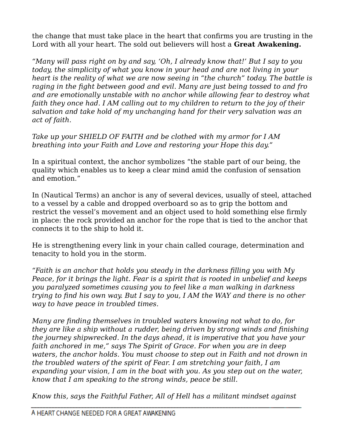the change that must take place in the heart that confirms you are trusting in the Lord with all your heart. The sold out believers will host a **Great Awakening.**

*"Many will pass right on by and say, 'Oh, I already know that!' But I say to you today, the simplicity of what you know in your head and are not living in your heart is the reality of what we are now seeing in "the church" today. The battle is raging in the fight between good and evil. Many are just being tossed to and fro and are emotionally unstable with no anchor while allowing fear to destroy what faith they once had. I AM calling out to my children to return to the joy of their salvation and take hold of my unchanging hand for their very salvation was an act of faith.*

*Take up your SHIELD OF FAITH and be clothed with my armor for I AM breathing into your Faith and Love and restoring your Hope this day."*

In a spiritual context, the anchor symbolizes "the stable part of our being, the quality which enables us to keep a clear mind amid the confusion of sensation and emotion."

In (Nautical Terms) an anchor is any of several devices, usually of steel, attached to a vessel by a cable and dropped overboard so as to grip the bottom and restrict the vessel's movement and an object used to hold something else firmly in place: the rock provided an anchor for the rope that is tied to the anchor that connects it to the ship to hold it.

He is strengthening every link in your chain called courage, determination and tenacity to hold you in the storm.

*"Faith is an anchor that holds you steady in the darkness filling you with My Peace, for it brings the light. Fear is a spirit that is rooted in unbelief and keeps you paralyzed sometimes causing you to feel like a man walking in darkness trying to find his own way. But I say to you, I AM the WAY and there is no other way to have peace in troubled times.*

*Many are finding themselves in troubled waters knowing not what to do, for they are like a ship without a rudder, being driven by strong winds and finishing the journey shipwrecked. In the days ahead, it is imperative that you have your faith anchored in me," says The Spirit of Grace. For when you are in deep waters, the anchor holds. You must choose to step out in Faith and not drown in the troubled waters of the spirit of Fear. I am stretching your faith, I am expanding your vision, I am in the boat with you. As you step out on the water, know that I am speaking to the strong winds, peace be still.*

*Know this, says the Faithful Father, All of Hell has a militant mindset against*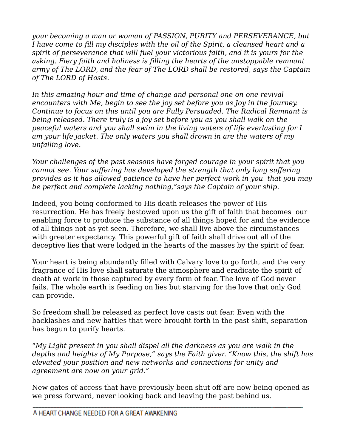*your becoming a man or woman of PASSION, PURITY and PERSEVERANCE, but I have come to fill my disciples with the oil of the Spirit, a cleansed heart and a spirit of perseverance that will fuel your victorious faith, and it is yours for the asking. Fiery faith and holiness is filling the hearts of the unstoppable remnant army of The LORD, and the fear of The LORD shall be restored, says the Captain of The LORD of Hosts.*

*In this amazing hour and time of change and personal one-on-one revival encounters with Me, begin to see the joy set before you as Joy in the Journey. Continue to focus on this until you are Fully Persuaded. The Radical Remnant is being released. There truly is a joy set before you as you shall walk on the peaceful waters and you shall swim in the living waters of life everlasting for I am your life jacket. The only waters you shall drown in are the waters of my unfailing love.*

*Your challenges of the past seasons have forged courage in your spirit that you cannot see. Your suffering has developed the strength that only long suffering provides as it has allowed patience to have her perfect work in you that you may be perfect and complete lacking nothing,"says the Captain of your ship.* 

Indeed, you being conformed to His death releases the power of His resurrection. He has freely bestowed upon us the gift of faith that becomes our enabling force to produce the substance of all things hoped for and the evidence of all things not as yet seen. Therefore, we shall live above the circumstances with greater expectancy. This powerful gift of faith shall drive out all of the deceptive lies that were lodged in the hearts of the masses by the spirit of fear.

Your heart is being abundantly filled with Calvary love to go forth, and the very fragrance of His love shall saturate the atmosphere and eradicate the spirit of death at work in those captured by every form of fear. The love of God never fails. The whole earth is feeding on lies but starving for the love that only God can provide.

So freedom shall be released as perfect love casts out fear. Even with the backlashes and new battles that were brought forth in the past shift, separation has begun to purify hearts.

"*My Light present in you shall dispel all the darkness as you are walk in the depths and heights of My Purpose," says the Faith giver. "Know this, the shift has elevated your position and new networks and connections for unity and agreement are now on your grid."*

New gates of access that have previously been shut off are now being opened as we press forward, never looking back and leaving the past behind us.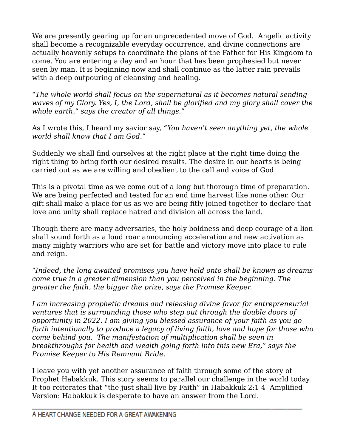We are presently gearing up for an unprecedented move of God. Angelic activity shall become a recognizable everyday occurrence, and divine connections are actually heavenly setups to coordinate the plans of the Father for His Kingdom to come. You are entering a day and an hour that has been prophesied but never seen by man. It is beginning now and shall continue as the latter rain prevails with a deep outpouring of cleansing and healing.

*"The whole world shall focus on the supernatural as it becomes natural sending waves of my Glory. Yes, I, the Lord, shall be glorified and my glory shall cover the whole earth," says the creator of all things."*

As I wrote this, I heard my savior say, *"You haven't seen anything yet, the whole world shall know that I am God."*

Suddenly we shall find ourselves at the right place at the right time doing the right thing to bring forth our desired results. The desire in our hearts is being carried out as we are willing and obedient to the call and voice of God.

This is a pivotal time as we come out of a long but thorough time of preparation. We are being perfected and tested for an end time harvest like none other. Our gift shall make a place for us as we are being fitly joined together to declare that love and unity shall replace hatred and division all across the land.

Though there are many adversaries, the holy boldness and deep courage of a lion shall sound forth as a loud roar announcing acceleration and new activation as many mighty warriors who are set for battle and victory move into place to rule and reign.

*"Indeed, the long awaited promises you have held onto shall be known as dreams come true in a greater dimension than you perceived in the beginning. The greater the faith, the bigger the prize, says the Promise Keeper.*

*I am increasing prophetic dreams and releasing divine favor for entrepreneurial ventures that is surrounding those who step out through the double doors of opportunity in 2022. I am giving you blessed assurance of your faith as you go forth intentionally to produce a legacy of living faith, love and hope for those who come behind you, The manifestation of multiplication shall be seen in breakthroughs for health and wealth going forth into this new Era," says the Promise Keeper to His Remnant Bride.*

I leave you with yet another assurance of faith through some of the story of Prophet Habakkuk. This story seems to parallel our challenge in the world today. It too reiterates that "the just shall live by Faith" in Habakkuk 2:1-4 Amplified Version: Habakkuk is desperate to have an answer from the Lord.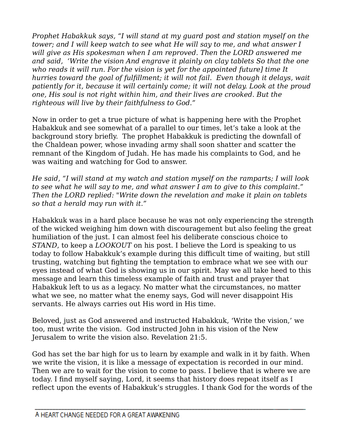*Prophet Habakkuk says, "I will stand at my guard post and station myself on the tower; and I will keep watch to see what He will say to me, and what answer I will give as His spokesman when I am reproved. Then the LORD answered me and said, 'Write the vision And engrave it plainly on clay tablets So that the one who reads it will run. For the vision is yet for the appointed future] time It hurries toward the goal of fulfillment; it will not fail. Even though it delays, wait patiently for it, because it will certainly come; it will not delay. Look at the proud one, His soul is not right within him, and their lives are crooked. But the righteous will live by their faithfulness to God."*

Now in order to get a true picture of what is happening here with the Prophet Habakkuk and see somewhat of a parallel to our times, let's take a look at the background story briefly. The prophet Habakkuk is predicting the downfall of the Chaldean power, whose invading army shall soon shatter and scatter the remnant of the Kingdom of Judah. He has made his complaints to God, and he was waiting and watching for God to answer.

*He said, "I will stand at my watch and station myself on the ramparts; I will look to see what he will say to me, and what answer I am to give to this complaint." Then the LORD replied: "Write down the revelation and make it plain on tablets so that a herald may run with it."*

Habakkuk was in a hard place because he was not only experiencing the strength of the wicked weighing him down with discouragement but also feeling the great humiliation of the just. I can almost feel his deliberate conscious choice to *STAND*, to keep a *LOOKOUT* on his post. I believe the Lord is speaking to us today to follow Habakkuk's example during this difficult time of waiting, but still trusting, watching but fighting the temptation to embrace what we see with our eyes instead of what God is showing us in our spirit. May we all take heed to this message and learn this timeless example of faith and trust and prayer that Habakkuk left to us as a legacy. No matter what the circumstances, no matter what we see, no matter what the enemy says, God will never disappoint His servants. He always carries out His word in His time.

Beloved, just as God answered and instructed Habakkuk, 'Write the vision,' we too, must write the vision. God instructed John in his vision of the New Jerusalem to write the vision also. Revelation 21:5.

God has set the bar high for us to learn by example and walk in it by faith. When we write the vision, it is like a message of expectation is recorded in our mind. Then we are to wait for the vision to come to pass. I believe that is where we are today. I find myself saying, Lord, it seems that history does repeat itself as I reflect upon the events of Habakkuk's struggles. I thank God for the words of the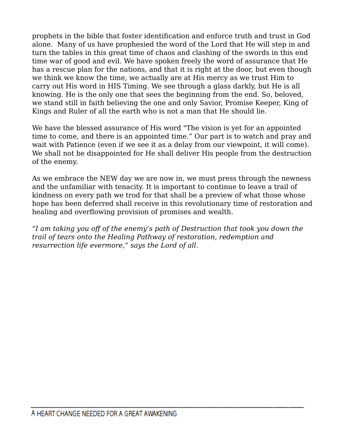prophets in the bible that foster identification and enforce truth and trust in God alone. Many of us have prophesied the word of the Lord that He will step in and turn the tables in this great time of chaos and clashing of the swords in this end time war of good and evil. We have spoken freely the word of assurance that He has a rescue plan for the nations, and that it is right at the door, but even though we think we know the time, we actually are at His mercy as we trust Him to carry out His word in HIS Timing. We see through a glass darkly, but He is all knowing. He is the only one that sees the beginning from the end. So, beloved, we stand still in faith believing the one and only Savior, Promise Keeper, King of Kings and Ruler of all the earth who is not a man that He should lie.

We have the blessed assurance of His word "The vision is yet for an appointed time to come, and there is an appointed time." Our part is to watch and pray and wait with Patience (even if we see it as a delay from our viewpoint, it will come). We shall not be disappointed for He shall deliver His people from the destruction of the enemy.

As we embrace the NEW day we are now in, we must press through the newness and the unfamiliar with tenacity. It is important to continue to leave a trail of kindness on every path we trod for that shall be a preview of what those whose hope has been deferred shall receive in this revolutionary time of restoration and healing and overflowing provision of promises and wealth.

*"I am taking you off of the enemy's path of Destruction that took you down the trail of tears onto the Healing Pathway of restoration, redemption and resurrection life evermore," says the Lord of all.*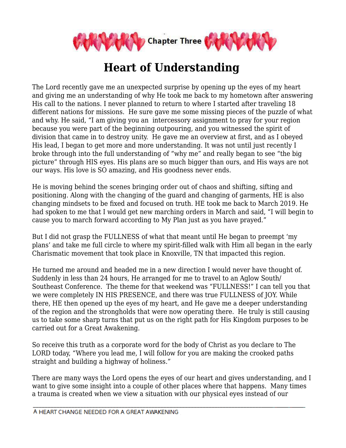

### **Heart of Understanding**

The Lord recently gave me an unexpected surprise by opening up the eyes of my heart and giving me an understanding of why He took me back to my hometown after answering His call to the nations. I never planned to return to where I started after traveling 18 different nations for missions. He sure gave me some missing pieces of the puzzle of what and why. He said, "I am giving you an intercessory assignment to pray for your region because you were part of the beginning outpouring, and you witnessed the spirit of division that came in to destroy unity. He gave me an overview at first, and as I obeyed His lead, I began to get more and more understanding. It was not until just recently I broke through into the full understanding of "why me" and really began to see "the big picture" through HIS eyes. His plans are so much bigger than ours, and His ways are not our ways. His love is SO amazing, and His goodness never ends.

He is moving behind the scenes bringing order out of chaos and shifting, sifting and positioning. Along with the changing of the guard and changing of garments, HE is also changing mindsets to be fixed and focused on truth. HE took me back to March 2019. He had spoken to me that I would get new marching orders in March and said, "I will begin to cause you to march forward according to My Plan just as you have prayed."

But I did not grasp the FULLNESS of what that meant until He began to preempt 'my plans' and take me full circle to where my spirit-filled walk with Him all began in the early Charismatic movement that took place in Knoxville, TN that impacted this region.

He turned me around and headed me in a new direction I would never have thought of. Suddenly in less than 24 hours, He arranged for me to travel to an Aglow South/ Southeast Conference. The theme for that weekend was "FULLNESS!" I can tell you that we were completely IN HIS PRESENCE, and there was true FULLNESS of JOY. While there, HE then opened up the eyes of my heart, and He gave me a deeper understanding of the region and the strongholds that were now operating there. He truly is still causing us to take some sharp turns that put us on the right path for His Kingdom purposes to be carried out for a Great Awakening.

So receive this truth as a corporate word for the body of Christ as you declare to The LORD today, "Where you lead me, I will follow for you are making the crooked paths straight and building a highway of holiness."

There are many ways the Lord opens the eyes of our heart and gives understanding, and I want to give some insight into a couple of other places where that happens. Many times a trauma is created when we view a situation with our physical eyes instead of our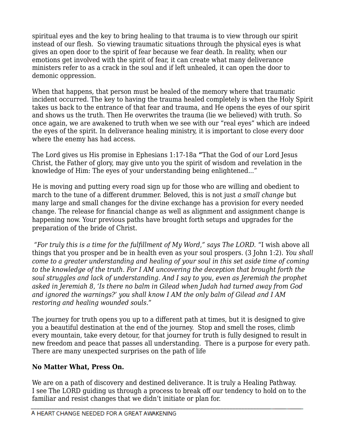spiritual eyes and the key to bring healing to that trauma is to view through our spirit instead of our flesh. So viewing traumatic situations through the physical eyes is what gives an open door to the spirit of fear because we fear death. In reality, when our emotions get involved with the spirit of fear, it can create what many deliverance ministers refer to as a crack in the soul and if left unhealed, it can open the door to demonic oppression.

When that happens, that person must be healed of the memory where that traumatic incident occurred. The key to having the trauma healed completely is when the Holy Spirit takes us back to the entrance of that fear and trauma, and He opens the eyes of our spirit and shows us the truth. Then He overwrites the trauma (lie we believed) with truth. So once again, we are awakened to truth when we see with our "real eyes" which are indeed the eyes of the spirit. In deliverance healing ministry, it is important to close every door where the enemy has had access.

The Lord gives us His promise in Ephesians 1:17-18a **"**That the God of our Lord Jesus Christ, the Father of glory, may give unto you the spirit of wisdom and revelation in the knowledge of Him: The eyes of your understanding being enlightened..."

He is moving and putting every road sign up for those who are willing and obedient to march to the tune of a different drummer. Beloved, this is not just *a small change* but many large and small changes for the divine exchange has a provision for every needed change. The release for financial change as well as alignment and assignment change is happening now. Your previous paths have brought forth setups and upgrades for the preparation of the bride of Christ.

 *"For truly this is a time for the fulfillment of My Word," says The LORD.* "I wish above all things that you prosper and be in health even as your soul prospers. (3 John 1:2). *You shall come to a greater understanding and healing of your soul in this set aside time of coming to the knowledge of the truth. For I AM uncovering the deception that brought forth the soul struggles and lack of understanding. And I say to you, even as Jeremiah the prophet asked in Jeremiah 8, 'Is there no balm in Gilead when Judah had turned away from God and ignored the warnings?' you shall know I AM the only balm of Gilead and I AM restoring and healing wounded souls."* 

The journey for truth opens you up to a different path at times, but it is designed to give you a beautiful destination at the end of the journey. Stop and smell the roses, climb every mountain, take every detour, for that journey for truth is fully designed to result in new freedom and peace that passes all understanding. There is a purpose for every path. There are many unexpected surprises on the path of life

### **No Matter What, Press On.**

We are on a path of discovery and destined deliverance. It is truly a Healing Pathway. I see The LORD guiding us through a process to break off our tendency to hold on to the familiar and resist changes that we didn't initiate or plan for.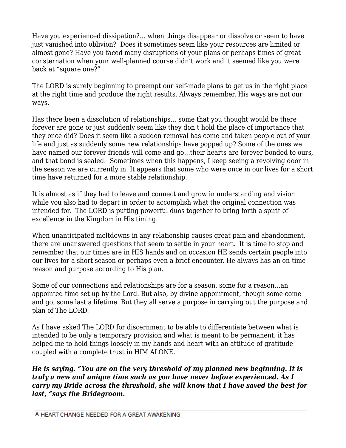Have you experienced dissipation?… when things disappear or dissolve or seem to have just vanished into oblivion? Does it sometimes seem like your resources are limited or almost gone? Have you faced many disruptions of your plans or perhaps times of great consternation when your well-planned course didn't work and it seemed like you were back at "square one?"

The LORD is surely beginning to preempt our self-made plans to get us in the right place at the right time and produce the right results. Always remember, His ways are not our ways.

Has there been a dissolution of relationships… some that you thought would be there forever are gone or just suddenly seem like they don't hold the place of importance that they once did? Does it seem like a sudden removal has come and taken people out of your life and just as suddenly some new relationships have popped up? Some of the ones we have named our forever friends will come and go...their hearts are forever bonded to ours, and that bond is sealed. Sometimes when this happens, I keep seeing a revolving door in the season we are currently in. It appears that some who were once in our lives for a short time have returned for a more stable relationship.

It is almost as if they had to leave and connect and grow in understanding and vision while you also had to depart in order to accomplish what the original connection was intended for. The LORD is putting powerful duos together to bring forth a spirit of excellence in the Kingdom in His timing.

When unanticipated meltdowns in any relationship causes great pain and abandonment, there are unanswered questions that seem to settle in your heart. It is time to stop and remember that our times are in HIS hands and on occasion HE sends certain people into our lives for a short season or perhaps even a brief encounter. He always has an on-time reason and purpose according to His plan.

Some of our connections and relationships are for a season, some for a reason…an appointed time set up by the Lord. But also, by divine appointment, though some come and go, some last a lifetime. But they all serve a purpose in carrying out the purpose and plan of The LORD.

As I have asked The LORD for discernment to be able to differentiate between what is intended to be only a temporary provision and what is meant to be permanent, it has helped me to hold things loosely in my hands and heart with an attitude of gratitude coupled with a complete trust in HIM ALONE.

*He is saying. "You are on the very threshold of my planned new beginning. It is truly a new and unique time such as you have never before experienced. As I carry my Bride across the threshold, she will know that I have saved the best for last, "says the Bridegroom.*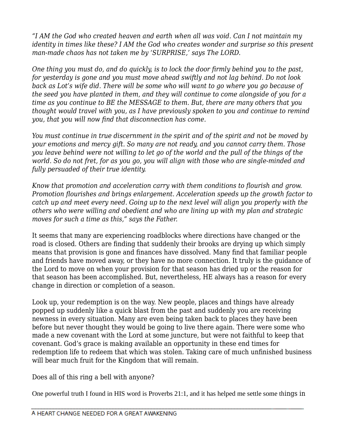*"I AM the God who created heaven and earth when all was void. Can I not maintain my identity in times like these? I AM the God who creates wonder and surprise so this present man-made chaos has not taken me by 'SURPRISE,' says The LORD.*

*One thing you must do, and do quickly, is to lock the door firmly behind you to the past, for yesterday is gone and you must move ahead swiftly and not lag behind. Do not look back as Lot's wife did. There will be some who will want to go where you go because of the seed you have planted in them, and they will continue to come alongside of you for a time as you continue to BE the MESSAGE to them. But, there are many others that you thought would travel with you, as I have previously spoken to you and continue to remind you, that you will now find that disconnection has come.* 

*You must continue in true discernment in the spirit and of the spirit and not be moved by your emotions and mercy gift. So many are not ready, and you cannot carry them. Those you leave behind were not willing to let go of the world and the pull of the things of the world. So do not fret, for as you go, you will align with those who are single-minded and fully persuaded of their true identity.* 

*Know that promotion and acceleration carry with them conditions to flourish and grow. Promotion flourishes and brings enlargement. Acceleration speeds up the growth factor to catch up and meet every need. Going up to the next level will align you properly with the others who were willing and obedient and who are lining up with my plan and strategic moves for such a time as this," says the Father.*

It seems that many are experiencing roadblocks where directions have changed or the road is closed. Others are finding that suddenly their brooks are drying up which simply means that provision is gone and finances have dissolved. Many find that familiar people and friends have moved away, or they have no more connection. It truly is the guidance of the Lord to move on when your provision for that season has dried up or the reason for that season has been accomplished. But, nevertheless, HE always has a reason for every change in direction or completion of a season.

Look up, your redemption is on the way. New people, places and things have already popped up suddenly like a quick blast from the past and suddenly you are receiving newness in every situation. Many are even being taken back to places they have been before but never thought they would be going to live there again. There were some who made a new covenant with the Lord at some juncture, but were not faithful to keep that covenant. God's grace is making available an opportunity in these end times for redemption life to redeem that which was stolen. Taking care of much unfinished business will bear much fruit for the Kingdom that will remain.

Does all of this ring a bell with anyone?

One powerful truth I found in HIS word is Proverbs 21:1, and it has helped me settle some things in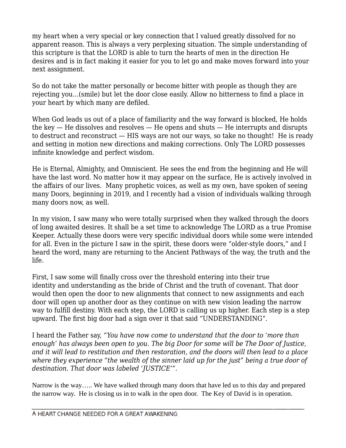my heart when a very special or key connection that I valued greatly dissolved for no apparent reason. This is always a very perplexing situation. The simple understanding of this scripture is that the LORD is able to turn the hearts of men in the direction He desires and is in fact making it easier for you to let go and make moves forward into your next assignment.

So do not take the matter personally or become bitter with people as though they are rejecting you…(smile) but let the door close easily. Allow no bitterness to find a place in your heart by which many are defiled.

When God leads us out of a place of familiarity and the way forward is blocked, He holds the key — He dissolves and resolves — He opens and shuts — He interrupts and disrupts to destruct and reconstruct — HIS ways are not our ways, so take no thought! He is ready and setting in motion new directions and making corrections. Only The LORD possesses infinite knowledge and perfect wisdom.

He is Eternal, Almighty, and Omniscient. He sees the end from the beginning and He will have the last word. No matter how it may appear on the surface, He is actively involved in the affairs of our lives. Many prophetic voices, as well as my own, have spoken of seeing many Doors, beginning in 2019, and I recently had a vision of individuals walking through many doors now, as well.

In my vision, I saw many who were totally surprised when they walked through the doors of long awaited desires. It shall be a set time to acknowledge The LORD as a true Promise Keeper. Actually these doors were very specific individual doors while some were intended for all. Even in the picture I saw in the spirit, these doors were "older-style doors," and I heard the word, many are returning to the Ancient Pathways of the way, the truth and the life.

First, I saw some will finally cross over the threshold entering into their true identity and understanding as the bride of Christ and the truth of covenant. That door would then open the door to new alignments that connect to new assignments and each door will open up another door as they continue on with new vision leading the narrow way to fulfill destiny. With each step, the LORD is calling us up higher. Each step is a step upward. The first big door had a sign over it that said "UNDERSTANDING".

I heard the Father say, *"You have now come to understand that the door to 'more than enough' has always been open to you. The big Door for some will be The Door of Justice, and it will lead to restitution and then restoration, and the doors will then lead to a place where they experience "the wealth of the sinner laid up for the just" being a true door of destination. That door was labeled 'JUSTICE'".*

Narrow is the way….. We have walked through many doors that have led us to this day and prepared the narrow way. He is closing us in to walk in the open door. The Key of David is in operation.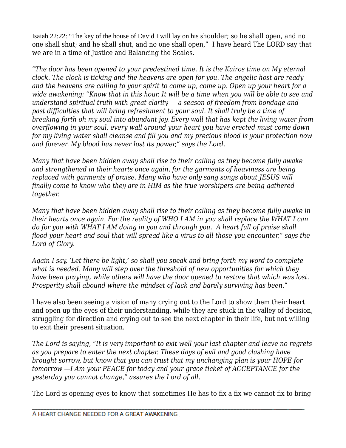Isaiah 22:22: "The key of the house of David I will lay on his shoulder; so he shall open, and no one shall shut; and he shall shut, and no one shall open," I have heard The LORD say that we are in a time of Justice and Balancing the Scales.

*"The door has been opened to your predestined time. It is the Kairos time on My eternal clock. The clock is ticking and the heavens are open for you. The angelic host are ready and the heavens are calling to your spirit to come up, come up. Open up your heart for a wide awakening: "Know that in this hour. It will be a time when you will be able to see and understand spiritual truth with great clarity — a season of freedom from bondage and*  past difficulties that will bring refreshment to your soul. It shall truly be a time of *breaking forth oh my soul into abundant joy. Every wall that has kept the living water from overflowing in your soul, every wall around your heart you have erected must come down for my living water shall cleanse and fill you and my precious blood is your protection now and forever. My blood has never lost its power," says the Lord.*

*Many that have been hidden away shall rise to their calling as they become fully awake and strengthened in their hearts once again, for the garments of heaviness are being replaced with garments of praise. Many who have only sang songs about JESUS will finally come to know who they are in HIM as the true worshipers are being gathered together.*

*Many that have been hidden away shall rise to their calling as they become fully awake in their hearts once again. For the reality of WHO I AM in you shall replace the WHAT I can do for you with WHAT I AM doing in you and through you. A heart full of praise shall flood your heart and soul that will spread like a virus to all those you encounter," says the Lord of Glory.*

*Again I say, 'Let there be light,' so shall you speak and bring forth my word to complete what is needed. Many will step over the threshold of new opportunities for which they have been praying, while others will have the door opened to restore that which was lost. Prosperity shall abound where the mindset of lack and barely surviving has been."* 

I have also been seeing a vision of many crying out to the Lord to show them their heart and open up the eyes of their understanding, while they are stuck in the valley of decision, struggling for direction and crying out to see the next chapter in their life, but not willing to exit their present situation.

*The Lord is saying, "It is very important to exit well your last chapter and leave no regrets as you prepare to enter the next chapter. These days of evil and good clashing have brought sorrow, but know that you can trust that my unchanging plan is your HOPE for tomorrow —I Am your PEACE for today and your grace ticket of ACCEPTANCE for the yesterday you cannot change," assures the Lord of all.*

The Lord is opening eyes to know that sometimes He has to fix a fix we cannot fix to bring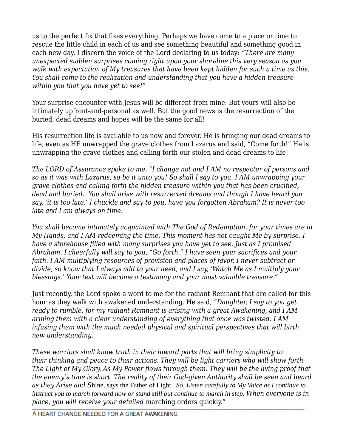us to the perfect fix that fixes everything. Perhaps we have come to a place or time to rescue the little child in each of us and see something beautiful and something good in each new day. I discern the voice of the Lord declaring to us today: *"There are many unexpected sudden surprises coming right upon your shoreline this very season as you walk with expectation of My treasures that have been kept hidden for such a time as this. You shall come to the realization and understanding that you have a hidden treasure within you that you have yet to see!"*

Your surprise encounter with Jesus will be different from mine. But yours will also be intimately upfront-and-personal as well. But the good news is the resurrection of the buried, dead dreams and hopes will be the same for all!

His resurrection life is available to us now and forever. He is bringing our dead dreams to life, even as HE unwrapped the grave clothes from Lazarus and said, "Come forth!" He is unwrapping the grave clothes and calling forth our stolen and dead dreams to life!

*The LORD of Assurance spoke to me, "I change not and I AM no respecter of persons and so as it was with Lazarus, so be it unto you! So shall I say to you, I AM unwrapping your grave clothes and calling forth the hidden treasure within you that has been crucified, dead and buried. You shall arise with resurrected dreams and though I have heard you say, 'it is too late.' I chuckle and say to you, have you forgotten Abraham? It is never too late and I am always on time.*

*You shall become intimately acquainted with The God of Redemption, for your times are in My Hands, and I AM redeeming the time. This moment has not caught Me by surprise. I have a storehouse filled with many surprises you have yet to see. Just as I promised Abraham, I cheerfully will say to you, "Go forth," I have seen your sacrifices and your faith. I AM multiplying resources of provision and places of favor. I never subtract or divide, so know that I always add to your need, and I say, 'Watch Me as I multiply your blessings.' Your test will become a testimony and your most valuable treasure."*

Just recently, the Lord spoke a word to me for the radiant Remnant that are called for this hour as they walk with awakened understanding. He said, *"Daughter, I say to you get ready to rumble, for my radiant Remnant is arising with a great Awakening, and I AM arming them with a clear understanding of everything that once was twisted. I AM infusing them with the much needed physical and spiritual perspectives that will birth new understanding.*

*These warriors shall know truth in their inward parts that will bring simplicity to their thinking and peace to their actions. They will be light carriers who will show forth The Light of My Glory. As My Power flows through them. They will be the living proof that the enemy's time is short. The reality of their God-given Authority shall be seen and heard as they Arise and S*hine, says the Father of Light. *So, Listen carefully to My Voice as I continue to instruct you to march forward now or stand still but continue to march in step. When everyone is in place, you will receive your detailed* marching orders quickly."

A HEART CHANGE NEEDED FOR A GREAT AWAKENING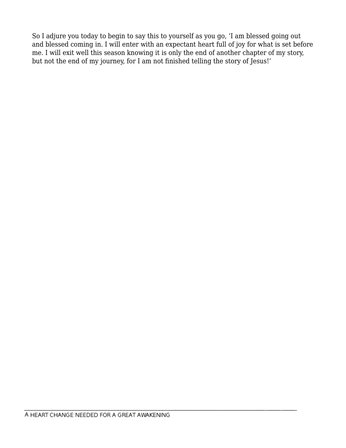So I adjure you today to begin to say this to yourself as you go, 'I am blessed going out and blessed coming in. I will enter with an expectant heart full of joy for what is set before me. I will exit well this season knowing it is only the end of another chapter of my story, but not the end of my journey, for I am not finished telling the story of Jesus!'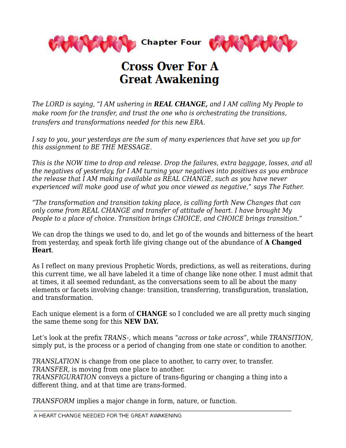

### **Cross Over For A Great Awakening**

*The LORD is saying, "I AM ushering in REAL CHANGE, and I AM calling My People to make room for the transfer, and trust the one who is orchestrating the transitions, transfers and transformations needed for this new ERA.*

*I say to you, your yesterdays are the sum of many experiences that have set you up for this assignment to BE THE MESSAGE.*

*This is the NOW time to drop and release. Drop the failures, extra baggage, losses, and all the negatives of yesterday, for I AM turning your negatives into positives as you embrace the release that I AM making available as REAL CHANGE, such as you have never experienced will make good use of what you once viewed as negative," says The Father.*

*"The transformation and transition taking place, is calling forth New Changes that can only come from REAL CHANGE and transfer of attitude of heart. I have brought My People to a place of choice. Transition brings CHOICE, and CHOICE brings transition."*

We can drop the things we used to do, and let go of the wounds and bitterness of the heart from yesterday, and speak forth life giving change out of the abundance of **A Changed Heart**.

As I reflect on many previous Prophetic Words, predictions, as well as reiterations, during this current time, we all have labeled it a time of change like none other. I must admit that at times, it all seemed redundant, as the conversations seem to all be about the many elements or facets involving change: transition, transferring, transfiguration, translation, and transformation.

Each unique element is a form of **CHANGE** so I concluded we are all pretty much singing the same theme song for this **NEW DAY.**

Let's look at the prefix *TRANS-,* which means "*across or take across"*, while *TRANSITION*, simply put, is the process or a period of changing from one state or condition to another.

*TRANSLATION* is change from one place to another, to carry over, to transfer. *TRANSFER,* is moving from one place to another. *TRANSFIGURATION* conveys a picture of trans-figuring or changing a thing into a different thing, and at that time are trans-formed.

*TRANSFORM* implies a major change in form, nature, or function.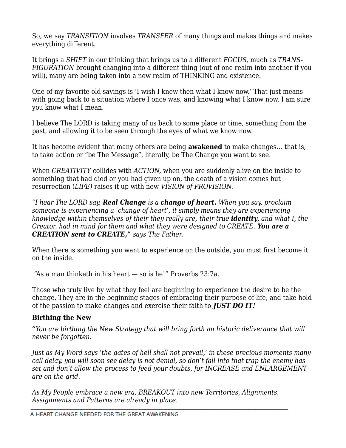So, we say *TRANSITION* involves *TRANSFER* of many things and makes things and makes everything different.

It brings a *SHIFT* in our thinking that brings us to a different *FOCUS,* much as *TRANS-FIGURATION* brought changing into a different thing (out of one realm into another if you will), many are being taken into a new realm of THINKING and existence.

One of my favorite old sayings is 'I wish I knew then what I know now.' That just means with going back to a situation where I once was, and knowing what I know now. I am sure you know what I mean.

I believe The LORD is taking many of us back to some place or time, something from the past, and allowing it to be seen through the eyes of what we know now.

It has become evident that many others are being **awakened** to make changes… that is, to take action or "be The Message", literally, be The Change you want to see.

When *CREATIVITY* collides with *ACTION,* when you are suddenly alive on the inside to something that had died or you had given up on, the death of a vision comes but resurrection (*LIFE)* raises it up with new *VISION of PROVISION.*

*"I hear The LORD say, Real Change is a change of heart. When you say, proclaim someone is experiencing a 'change of heart', it simply means they are experiencing knowledge within themselves of their they really are, their true identity, and what I, the Creator, had in mind for them and what they were designed to CREATE. You are a CREATION sent to CREATE," says The Father.*

When there is something you want to experience on the outside, you must first become it on the inside.

"As a man thinketh in his heart — so is he!" Proverbs 23:7a.

Those who truly live by what they feel are beginning to experience the desire to be the change. They are in the beginning stages of embracing their purpose of life, and take hold of the passion to make changes and exercise their faith to *JUST DO IT!*

### **Birthing the New**

*"You are birthing the New Strategy that will bring forth an historic deliverance that will never be forgotten.*

*Just as My Word says 'the gates of hell shall not prevail,' in these precious moments many call delay, you will soon see delay is not denial, so don't fall into that trap the enemy has set and don't allow the process to feed your doubts, for INCREASE and ENLARGEMENT are on the grid.*

*As My People embrace a new era, BREAKOUT into new Territories, Alignments, Assignments and Patterns are already in place.*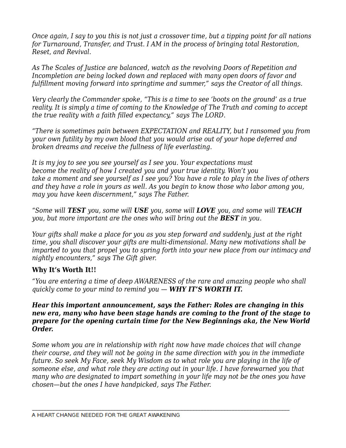*Once again, I say to you this is not just a crossover time, but a tipping point for all nations for Turnaround, Transfer, and Trust. I AM in the process of bringing total Restoration, Reset, and Revival.*

*As The Scales of Justice are balanced, watch as the revolving Doors of Repetition and Incompletion are being locked down and replaced with many open doors of favor and fulfillment moving forward into springtime and summer," says the Creator of all things.*

*Very clearly the Commander spoke, "This is a time to see 'boots on the ground' as a true reality. It is simply a time of coming to the Knowledge of The Truth and coming to accept the true reality with a faith filled expectancy," says The LORD*.

*"There is sometimes pain between EXPECTATION and REALITY, but I ransomed you from your own futility by my own blood that you would arise out of your hope deferred and broken dreams and receive the fullness of life everlasting.*

*It is my joy to see you see yourself as I see you. Your expectations must become the reality of how I created you and your true identity. Won't you take a moment and see yourself as I see you? You have a role to play in the lives of others and they have a role in yours as well. As you begin to know those who labor among you, may you have keen discernment," says The Father.*

"*Some will TEST you, some will USE you, some will LOVE you, and some will TEACH you, but more important are the ones who will bring out the BEST in you.*

*Your gifts shall make a place for you as you step forward and suddenly, just at the right time, you shall discover your gifts are multi-dimensional. Many new motivations shall be imparted to you that propel you to spring forth into your new place from our intimacy and nightly encounters," says The Gift giver.*

### **Why It's Worth It!!**

*"You are entering a time of deep AWARENESS of the rare and amazing people who shall quickly come to your mind to remind you — WHY IT'S WORTH IT.*

#### *Hear this important announcement, says the Father: Roles are changing in this new era, many who have been stage hands are coming to the front of the stage to prepare for the opening curtain time for the New Beginnings aka, the New World Order.*

*Some whom you are in relationship with right now have made choices that will change their course, and they will not be going in the same direction with you in the immediate future. So seek My Face, seek My Wisdom as to what role you are playing in the life of someone else, and what role they are acting out in your life. I have forewarned you that many who are designated to impart something in your life may not be the ones you have chosen—but the ones I have handpicked, says The Father.*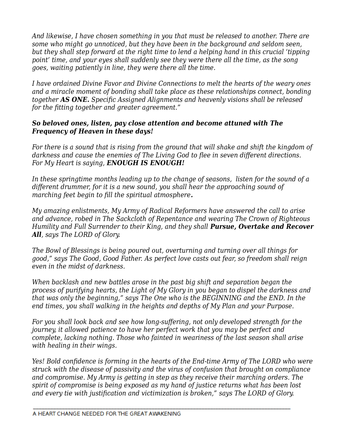*And likewise, I have chosen something in you that must be released to another. There are some who might go unnoticed, but they have been in the background and seldom seen, but they shall step forward at the right time to lend a helping hand in this crucial 'tipping point' time, and your eyes shall suddenly see they were there all the time, as the song goes, waiting patiently in line, they were there all the time.*

*I have ordained Divine Favor and Divine Connections to melt the hearts of the weary ones and a miracle moment of bonding shall take place as these relationships connect, bonding together AS ONE. Specific Assigned Alignments and heavenly visions shall be released for the fitting together and greater agreement."*

#### *So beloved ones, listen, pay close attention and become attuned with The Frequency of Heaven in these days!*

*For there is a sound that is rising from the ground that will shake and shift the kingdom of darkness and cause the enemies of The Living God to flee in seven different directions. For My Heart is saying, ENOUGH IS ENOUGH!*

*In these springtime months leading up to the change of seasons, listen for the sound of a different drummer, for it is a new sound, you shall hear the approaching sound of marching feet begin to fill the spiritual atmosphere.*

*My amazing enlistments, My Army of Radical Reformers have answered the call to arise and advance, robed in The Sackcloth of Repentance and wearing The Crown of Righteous Humility and Full Surrender to their King, and they shall Pursue, Overtake and Recover All, says The LORD of Glory.*

*The Bowl of Blessings is being poured out, overturning and turning over all things for good," says The Good, Good Father. As perfect love casts out fear, so freedom shall reign even in the midst of darkness.*

*When backlash and new battles arose in the past big shift and separation began the process of purifying hearts, the Light of My Glory in you began to dispel the darkness and that was only the beginning," says The One who is the BEGINNING and the END. In the end times, you shall walking in the heights and depths of My Plan and your Purpose.*

*For you shall look back and see how long-suffering, not only developed strength for the journey, it allowed patience to have her perfect work that you may be perfect and complete, lacking nothing. Those who fainted in weariness of the last season shall arise with healing in their wings.*

*Yes! Bold confidence is forming in the hearts of the End-time Army of The LORD who were struck with the disease of passivity and the virus of confusion that brought on compliance and compromise. My Army is getting in step as they receive their marching orders. The spirit of compromise is being exposed as my hand of justice returns what has been lost and every tie with justification and victimization is broken," says The LORD of Glory.*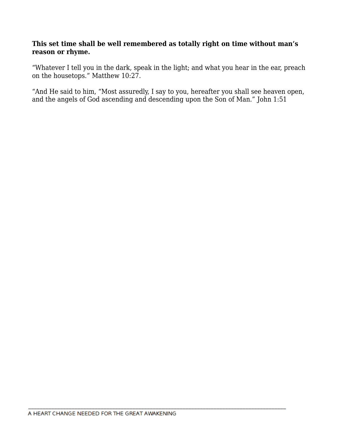#### **This set time shall be well remembered as totally right on time without man's reason or rhyme.**

"Whatever I tell you in the dark, speak in the light; and what you hear in the ear, preach on the housetops." Matthew 10:27.

"And He said to him, "Most assuredly, I say to you, hereafter you shall see heaven open, and the angels of God ascending and descending upon the Son of Man." John 1:51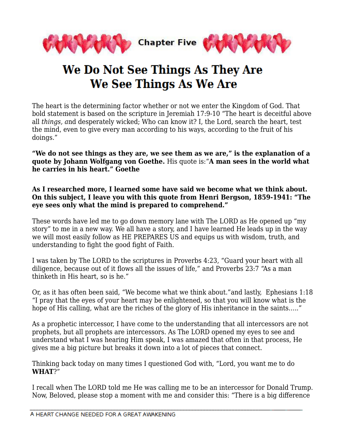

### We Do Not See Things As They Are We See Things As We Are

The heart is the determining factor whether or not we enter the Kingdom of God. That bold statement is based on the scripture in Jeremiah 17:9-10 "The heart is deceitful above all *things, a*nd desperately wicked; Who can know it? I, the Lord, search the heart, test the mind, even to give every man according to his ways, according to the fruit of his doings."

**"We do not see things as they are, we see them as we are," is the explanation of a quote by Johann Wolfgang von Goethe.** His quote is:"**A man sees in the world what he carries in his heart." Goethe**

#### **As I researched more, I learned some have said we become what we think about. On this subject, I leave you with this quote from Henri Bergson, 1859-1941: "The eye sees only what the mind is prepared to comprehend."**

These words have led me to go down memory lane with The LORD as He opened up "my story" to me in a new way. We all have a story, and I have learned He leads up in the way we will most easily follow as HE PREPARES US and equips us with wisdom, truth, and understanding to fight the good fight of Faith.

I was taken by The LORD to the scriptures in Proverbs 4:23, "Guard your heart with all diligence, because out of it flows all the issues of life," and Proverbs 23:7 "As a man thinketh in His heart, so is he."

Or, as it has often been said, "We become what we think about."and lastly, Ephesians 1:18 "I pray that the eyes of your heart may be enlightened, so that you will know what is the hope of His calling, what are the riches of the glory of His inheritance in the saints….."

As a prophetic intercessor, I have come to the understanding that all intercessors are not prophets, but all prophets are intercessors. As The LORD opened my eyes to see and understand what I was hearing Him speak, I was amazed that often in that process, He gives me a big picture but breaks it down into a lot of pieces that connect.

Thinking back today on many times I questioned God with, "Lord, you want me to do **WHAT**?"

I recall when The LORD told me He was calling me to be an intercessor for Donald Trump. Now, Beloved, please stop a moment with me and consider this: "There is a big difference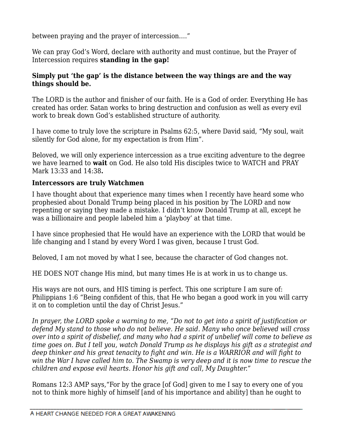between praying and the prayer of intercession…."

We can pray God's Word, declare with authority and must continue, but the Prayer of Intercession requires **standing in the gap!**

#### **Simply put 'the gap' is the distance between the way things are and the way things should be.**

The LORD is the author and finisher of our faith. He is a God of order. Everything He has created has order. Satan works to bring destruction and confusion as well as every evil work to break down God's established structure of authority.

I have come to truly love the scripture in Psalms 62:5, where David said, "My soul, wait silently for God alone, for my expectation is from Him".

Beloved, we will only experience intercession as a true exciting adventure to the degree we have learned to **wait** on God. He also told His disciples twice to WATCH and PRAY Mark 13:33 and 14:38**.**

### **Intercessors are truly Watchmen**

I have thought about that experience many times when I recently have heard some who prophesied about Donald Trump being placed in his position by The LORD and now repenting or saying they made a mistake. I didn't know Donald Trump at all, except he was a billionaire and people labeled him a 'playboy' at that time.

I have since prophesied that He would have an experience with the LORD that would be life changing and I stand by every Word I was given, because I trust God.

Beloved, I am not moved by what I see, because the character of God changes not.

HE DOES NOT change His mind, but many times He is at work in us to change us.

His ways are not ours, and HIS timing is perfect. This one scripture I am sure of: Philippians 1:6 "Being confident of this, that He who began a good work in you will carry it on to completion until the day of Christ Jesus."

*In prayer, the LORD spoke a warning to me, "Do not to get into a spirit of justification or defend My stand to those who do not believe. He said. Many who once believed will cross over into a spirit of disbelief, and many who had a spirit of unbelief will come to believe as time goes on. But I tell you, watch Donald Trump as he displays his gift as a strategist and deep thinker and his great tenacity to fight and win. He is a WARRIOR and will fight to win the War I have called him to. The Swamp is very deep and it is now time to rescue the children and expose evil hearts. Honor his gift and call, My Daughter."*

Romans 12:3 AMP says,"For by the grace [of God] given to me I say to every one of you not to think more highly of himself [and of his importance and ability] than he ought to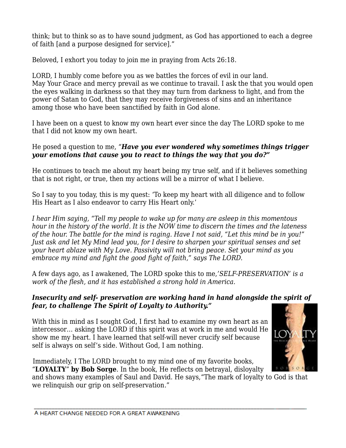think; but to think so as to have sound judgment, as God has apportioned to each a degree of faith [and a purpose designed for service]."

Beloved, I exhort you today to join me in praying from Acts 26:18.

LORD, I humbly come before you as we battles the forces of evil in our land. May Your Grace and mercy prevail as we continue to travail. I ask the that you would open the eyes walking in darkness so that they may turn from darkness to light, and from the power of Satan to God, that they may receive forgiveness of sins and an inheritance among those who have been sanctified by faith in God alone.

I have been on a quest to know my own heart ever since the day The LORD spoke to me that I did not know my own heart.

#### He posed a question to me, *"Have you ever wondered why sometimes things trigger your emotions that cause you to react to things the way that you do?"*

He continues to teach me about my heart being my true self, and if it believes something that is not right, or true, then my actions will be a mirror of what I believe.

So I say to you today, this is my quest: 'To keep my heart with all diligence and to follow His Heart as I also endeavor to carry His Heart only.'

*I hear Him saying, "Tell my people to wake up for many are asleep in this momentous hour in the history of the world. It is the NOW time to discern the times and the lateness of the hour. The battle for the mind is raging. Have I not said, "Let this mind be in you!" Just ask and let My Mind lead you, for I desire to sharpen your spiritual senses and set your heart ablaze with My Love. Passivity will not bring peace. Set your mind as you embrace my mind and fight the good fight of faith," says The LORD.*

A few days ago, as I awakened, The LORD spoke this to me,*'SELF-PRESERVATION' is a work of the flesh, and it has established a strong hold in America.*

### *Insecurity and self- preservation are working hand in hand alongside the spirit of fear, to challenge The Spirit of Loyalty to Authority."*

With this in mind as I sought God, I first had to examine my own heart as an intercessor… asking the LORD if this spirit was at work in me and would He show me my heart. I have learned that self-will never crucify self because self is always on self's side. Without God, I am nothing.



Immediately, I The LORD brought to my mind one of my favorite books, "**LOYALTY**" **by Bob Sorge**. In the book, He reflects on betrayal, disloyalty

and shows many examples of Saul and David. He says,"The mark of loyalty to God is that we relinquish our grip on self-preservation."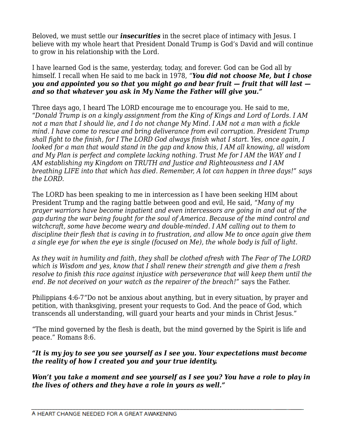Beloved, we must settle our *insecurities* in the secret place of intimacy with Jesus. I believe with my whole heart that President Donald Trump is God's David and will continue to grow in his relationship with the Lord.

I have learned God is the same, yesterday, today, and forever. God can be God all by himself. I recall when He said to me back in 1978, *"You did not choose Me, but I chose you and appointed you so that you might go and bear fruit — fruit that will last and so that whatever you ask in My Name the Father will give you."*

Three days ago, I heard The LORD encourage me to encourage you. He said to me, "*Donald Trump is on a kingly assignment from the King of Kings and Lord of Lords. I AM not a man that I should lie, and I do not change My Mind. I AM not a man with a fickle mind. I have come to rescue and bring deliverance from evil corruption. President Trump shall fight to the finish, for I The LORD God always finish what I start. Yes, once again, I looked for a man that would stand in the gap and know this, I AM all knowing, all wisdom*  and My Plan is perfect and complete lacking nothing. Trust Me for I AM the WAY and I *AM establishing my Kingdom on TRUTH and Justice and Righteousness and I AM breathing LIFE into that which has died. Remember, A lot can happen in three days!" says the LORD.*

The LORD has been speaking to me in intercession as I have been seeking HIM about President Trump and the raging battle between good and evil, He said, *"Many of my prayer warriors have become inpatient and even intercessors are going in and out of the gap during the war being fought for the soul of America. Because of the mind control and witchcraft, some have become weary and double-minded. I AM calling out to them to discipline their flesh that is caving in to frustration, and allow Me to once again give them a single eye for when the eye is single (focused on Me), the whole body is full of light.*

A*s they wait in humility and faith, they shall be clothed afresh with The Fear of The LORD which is Wisdom and yes, know that I shall renew their strength and give them a fresh resolve to finish this race against injustice with perseverance that will keep them until the end. Be not deceived on your watch as the repairer of the breach!"* says the Father.

Philippians 4:6-7"Do not be anxious about anything, but in every situation, by prayer and petition, with thanksgiving, present your requests to God. And the peace of God, which transcends all understanding, will guard your hearts and your minds in Christ Jesus."

"The mind governed by the flesh is death, but the mind governed by the Spirit is life and peace." Romans 8:6.

#### *"It is my joy to see you see yourself as I see you. Your expectations must become the reality of how I created you and your true identity.*

*Won't you take a moment and see yourself as I see you? You have a role to play in the lives of others and they have a role in yours as well."*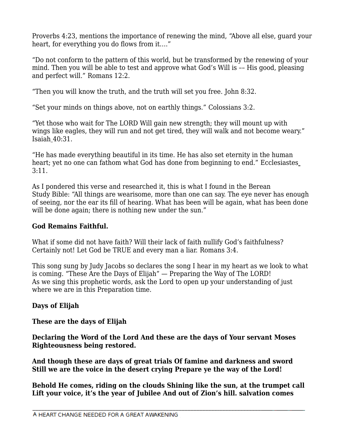Proverbs 4:23, mentions the importance of renewing the mind, "Above all else, guard your heart, for everything you do flows from it…."

"Do not conform to the pattern of this world, but be transformed by the renewing of your mind. Then you will be able to test and approve what God's Will is –– His good, pleasing and perfect will." Romans 12:2.

"Then you will know the truth, and the truth will set you free. John 8:32.

"Set your minds on things above, not on earthly things." Colossians 3:2.

"Yet those who wait for The LORD Will gain new strength; they will mount up with wings like eagles, they will run and not get tired, they will walk and not become weary." Isaiah 40:31.

"He has made everything beautiful in its time. He has also set eternity in the human heart; yet no one can fathom what God has done from beginning to end." Ecclesiastes 3:11.

As I pondered this verse and researched it, this is what I found in the Berean Study Bible: "All things are wearisome, more than one can say. The eye never has enough of seeing, nor the ear its fill of hearing. What has been will be again, what has been done will be done again; there is nothing new under the sun."

### **God Remains Faithful.**

What if some did not have faith? Will their lack of faith nullify God's faithfulness? Certainly not! Let God be TRUE and every man a liar. Romans 3:4.

This song sung by Judy Jacobs so declares the song I hear in my heart as we look to what is coming. "These Are the Days of Elijah" — Preparing the Way of The LORD! As we sing this prophetic words, ask the Lord to open up your understanding of just where we are in this Preparation time.

### **Days of Elijah**

**These are the days of Elijah**

**Declaring the Word of the Lord And these are the days of Your servant Moses Righteousness being restored.** 

**And though these are days of great trials Of famine and darkness and sword Still we are the voice in the desert crying Prepare ye the way of the Lord!** 

**Behold He comes, riding on the clouds Shining like the sun, at the trumpet call Lift your voice, it's the year of Jubilee And out of Zion's hill. salvation comes**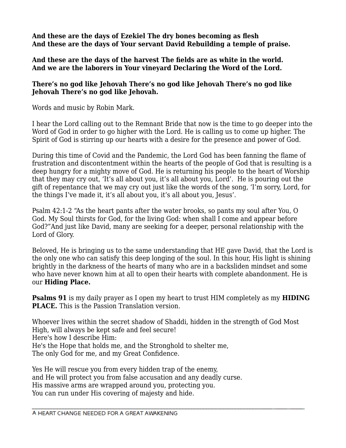**And these are the days of Ezekiel The dry bones becoming as flesh And these are the days of Your servant David Rebuilding a temple of praise.**

**And these are the days of the harvest The fields are as white in the world. And we are the laborers in Your vineyard Declaring the Word of the Lord.**

#### **There's no god like Jehovah There's no god like Jehovah There's no god like Jehovah There's no god like Jehovah.**

Words and music by Robin Mark.

I hear the Lord calling out to the Remnant Bride that now is the time to go deeper into the Word of God in order to go higher with the Lord. He is calling us to come up higher. The Spirit of God is stirring up our hearts with a desire for the presence and power of God.

During this time of Covid and the Pandemic, the Lord God has been fanning the flame of frustration and discontentment within the hearts of the people of God that is resulting is a deep hungry for a mighty move of God. He is returning his people to the heart of Worship that they may cry out, 'It's all about you, it's all about you, Lord'. He is pouring out the gift of repentance that we may cry out just like the words of the song, 'I'm sorry, Lord, for the things I've made it, it's all about you, it's all about you, Jesus'.

Psalm 42:1-2 "As the heart pants after the water brooks, so pants my soul after You, O God. My Soul thirsts for God, for the living God: when shall I come and appear before God?"And just like David, many are seeking for a deeper, personal relationship with the Lord of Glory.

Beloved, He is bringing us to the same understanding that HE gave David, that the Lord is the only one who can satisfy this deep longing of the soul. In this hour, His light is shining brightly in the darkness of the hearts of many who are in a backsliden mindset and some who have never known him at all to open their hearts with complete abandonment. He is our **Hiding Place.** 

**Psalms 91** is my daily prayer as I open my heart to trust HIM completely as my **HIDING PLACE.** This is the Passion Translation version.

Whoever lives within the secret shadow of Shaddi, hidden in the strength of God Most High, will always be kept safe and feel secure! Here's how I describe Him: He's the Hope that holds me, and the Stronghold to shelter me, The only God for me, and my Great Confidence.

Yes He will rescue you from every hidden trap of the enemy, and He will protect you from false accusation and any deadly curse. His massive arms are wrapped around you, protecting you. You can run under His covering of majesty and hide.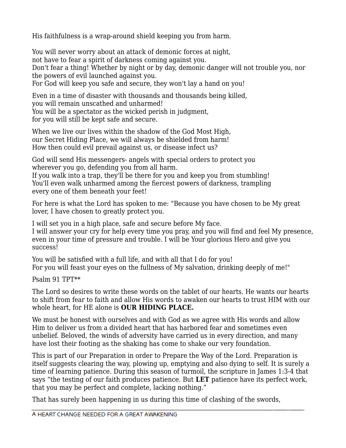His faithfulness is a wrap-around shield keeping you from harm.

You will never worry about an attack of demonic forces at night, not have to fear a spirit of darkness coming against you. Don't fear a thing! Whether by night or by day, demonic danger will not trouble you, nor the powers of evil launched against you. For God will keep you safe and secure, they won't lay a hand on you!

Even in a time of disaster with thousands and thousands being killed, you will remain unscathed and unharmed! You will be a spectator as the wicked perish in judgment, for you will still be kept safe and secure.

When we live our lives within the shadow of the God Most High, our Secret Hiding Place, we will always be shielded from harm! How then could evil prevail against us, or disease infect us?

God will send His messengers- angels with special orders to protect you wherever you go, defending you from all harm.

If you walk into a trap, they'll be there for you and keep you from stumbling! You'll even walk unharmed among the fiercest powers of darkness, trampling every one of them beneath your feet!

For here is what the Lord has spoken to me: "Because you have chosen to be My great lover, I have chosen to greatly protect you.

I will set you in a high place, safe and secure before My face.

I will answer your cry for help every time you pray, and you will find and feel My presence, even in your time of pressure and trouble. I will be Your glorious Hero and give you success!

You will be satisfied with a full life, and with all that I do for you! For you will feast your eyes on the fullness of My salvation, drinking deeply of me!"

Psalm 91 TPT\*\*

The Lord so desires to write these words on the tablet of our hearts. He wants our hearts to shift from fear to faith and allow His words to awaken our hearts to trust HIM with our whole heart, for HE alone is **OUR HIDING PLACE.** 

We must be honest with ourselves and with God as we agree with His words and allow Him to deliver us from a divided heart that has harbored fear and sometimes even unbelief. Beloved, the winds of adversity have carried us in every direction, and many have lost their footing as the shaking has come to shake our very foundation.

This is part of our Preparation in order to Prepare the Way of the Lord. Preparation is itself suggests clearing the way, plowing up, emptying and also dying to self. It is surely a time of learning patience. During this season of turmoil, the scripture in James 1:3-4 that says "the testing of our faith produces patience. But **LET** patience have its perfect work, that you may be perfect and complete, lacking nothing."

That has surely been happening in us during this time of clashing of the swords,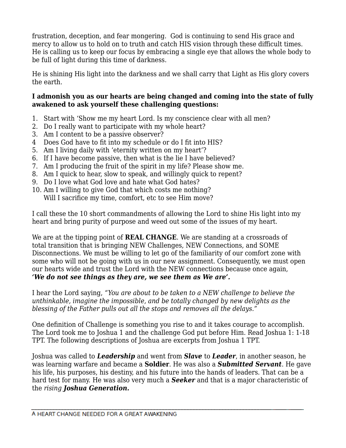frustration, deception, and fear mongering. God is continuing to send His grace and mercy to allow us to hold on to truth and catch HIS vision through these difficult times. He is calling us to keep our focus by embracing a single eye that allows the whole body to be full of light during this time of darkness.

He is shining His light into the darkness and we shall carry that Light as His glory covers the earth.

#### **I admonish you as our hearts are being changed and coming into the state of fully awakened to ask yourself these challenging questions:**

- 1. Start with 'Show me my heart Lord. Is my conscience clear with all men?
- 2. Do I really want to participate with my whole heart?
- 3. Am I content to be a passive observer?
- 4 Does God have to fit into my schedule or do I fit into HIS?
- 5. Am I living daily with 'eternity written on my heart'?
- 6. If I have become passive, then what is the lie I have believed?
- 7. Am I producing the fruit of the spirit in my life? Please show me.
- 8. Am I quick to hear, slow to speak, and willingly quick to repent?
- 9. Do I love what God love and hate what God hates?
- 10. Am I willing to give God that which costs me nothing? Will I sacrifice my time, comfort, etc to see Him move?

I call these the 10 short commandments of allowing the Lord to shine His light into my heart and bring purity of purpose and weed out some of the issues of my heart.

We are at the tipping point of **REAL CHANGE**. We are standing at a crossroads of total transition that is bringing NEW Challenges, NEW Connections, and SOME Disconnections. We must be willing to let go of the familiarity of our comfort zone with some who will not be going with us in our new assignment. Consequently, we must open our hearts wide and trust the Lord with the NEW connections because once again, *'We do not see things as they are, we see them as We are'.* 

I hear the Lord saying, *"You are about to be taken to a NEW challenge to believe the unthinkable, imagine the impossible, and be totally changed by new delights as the blessing of the Father pulls out all the stops and removes all the delays."*

One definition of Challenge is something you rise to and it takes courage to accomplish. The Lord took me to Joshua 1 and the challenge God put before Him. Read Joshua 1: 1-18 TPT. The following descriptions of Joshua are excerpts from Joshua 1 TPT.

Joshua was called to *Leadership* and went from *Slave* to *Leader*, in another season, he was learning warfare and became a **Soldier**. He was also a *Submitted Servant*. He gave his life, his purposes, his destiny, and his future into the hands of leaders. That can be a hard test for many. He was also very much a *Seeker* and that is a major characteristic of the *rising Joshua Generation.*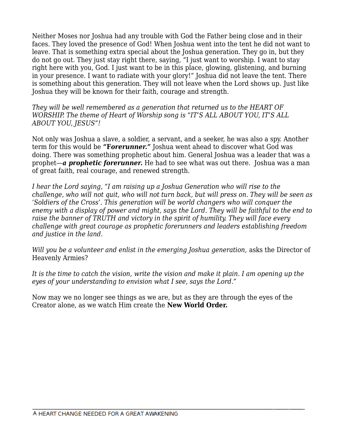Neither Moses nor Joshua had any trouble with God the Father being close and in their faces. They loved the presence of God! When Joshua went into the tent he did not want to leave. That is something extra special about the Joshua generation. They go in, but they do not go out. They just stay right there, saying, "I just want to worship. I want to stay right here with you, God. I just want to be in this place, glowing, glistening, and burning in your presence. I want to radiate with your glory!" Joshua did not leave the tent. There is something about this generation. They will not leave when the Lord shows up. Just like Joshua they will be known for their faith, courage and strength.

*They will be well remembered as a generation that returned us to the HEART OF WORSHIP. The theme of Heart of Worship song is "IT'S ALL ABOUT YOU, IT'S ALL ABOUT YOU, JESUS"!*

Not only was Joshua a slave, a soldier, a servant, and a seeker, he was also a spy. Another term for this would be **"F***orerunner."* Joshua went ahead to discover what God was doing. There was something prophetic about him. General Joshua was a leader that was a prophet—*a prophetic forerunner.* He had to see what was out there. Joshua was a man of great faith, real courage, and renewed strength.

*I hear the Lord saying, "I am raising up a Joshua Generation who will rise to the challenge, who will not quit, who will not turn back, but will press on. They will be seen as 'Soldiers of the Cross'. This generation will be world changers who will conquer the enemy with a display of power and might, says the Lord. They will be faithful to the end to raise the banner of TRUTH and victory in the spirit of humility. They will face every challenge with great courage as prophetic forerunners and leaders establishing freedom and justice in the land.*

*Will you be a volunteer and enlist in the emerging Joshua generation,* asks the Director of Heavenly Armies?

*It is the time to catch the vision, write the vision and make it plain. I am opening up the eyes of your understanding to envision what I see, says the Lord."* 

Now may we no longer see things as we are, but as they are through the eyes of the Creator alone, as we watch Him create the **New World Order.**